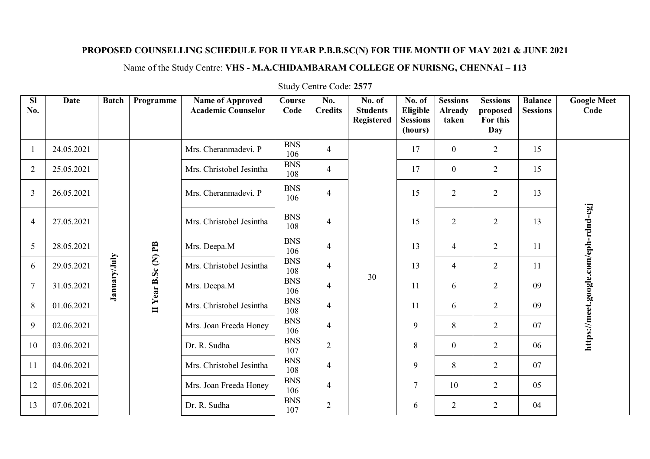## **PROPOSED COUNSELLING SCHEDULE FOR II YEAR P.B.B.SC(N) FOR THE MONTH OF MAY 2021 & JUNE 2021**

## Name of the Study Centre: **VHS - M.A.CHIDAMBARAM COLLEGE OF NURISNG, CHENNAI – 113**

| <b>SI</b><br>No. | <b>Date</b> | <b>Batch</b> | Programme           | <b>Name of Approved</b><br><b>Academic Counselor</b> | Course<br>Code                                              | No.<br><b>Credits</b> | No. of<br><b>Students</b><br><b>Registered</b> | No. of<br>Eligible<br><b>Sessions</b><br>(hours) | <b>Sessions</b><br><b>Already</b><br>taken | <b>Sessions</b><br>proposed<br>For this<br>Day | <b>Balance</b><br><b>Sessions</b> | <b>Google Meet</b><br>Code           |
|------------------|-------------|--------------|---------------------|------------------------------------------------------|-------------------------------------------------------------|-----------------------|------------------------------------------------|--------------------------------------------------|--------------------------------------------|------------------------------------------------|-----------------------------------|--------------------------------------|
| 1                | 24.05.2021  | January/July | II Year B.Sc (N) PB | Mrs. Cheranmadevi. P                                 | <b>BNS</b><br>106                                           | $\overline{4}$        |                                                | 17                                               | $\mathbf{0}$                               | $\overline{2}$                                 | 15                                | https://meet.google.com/eph-rdnd-cgj |
| 2                | 25.05.2021  |              |                     | Mrs. Christobel Jesintha                             | <b>BNS</b><br>108                                           | $\overline{4}$        |                                                | 17                                               | $\mathbf{0}$                               | 2                                              | 15                                |                                      |
| $\overline{3}$   | 26.05.2021  |              |                     | Mrs. Cheranmadevi. P                                 | <b>BNS</b><br>106                                           | $\overline{4}$        |                                                | 15                                               | $\overline{2}$                             | $\overline{2}$                                 | 13                                |                                      |
| $\overline{4}$   | 27.05.2021  |              |                     | Mrs. Christobel Jesintha                             | <b>BNS</b><br>108                                           | $\overline{4}$        |                                                | 15                                               | $\overline{2}$                             | $\overline{2}$                                 | 13                                |                                      |
| 5                | 28.05.2021  |              |                     | Mrs. Deepa.M                                         | <b>BNS</b><br>106<br><b>BNS</b><br>108                      | $\overline{4}$        |                                                | 13                                               | $\overline{4}$                             | $\overline{2}$                                 | 11                                |                                      |
| 6                | 29.05.2021  |              |                     | Mrs. Christobel Jesintha                             |                                                             | $\overline{4}$        |                                                | 13                                               | $\overline{4}$                             | $\overline{2}$                                 | 11                                |                                      |
| $\overline{7}$   | 31.05.2021  |              |                     | Mrs. Deepa.M                                         | <b>BNS</b><br>106                                           | $\overline{4}$        | 30                                             | 11                                               | 6                                          | 2                                              | 09                                |                                      |
| 8                | 01.06.2021  |              |                     | Mrs. Christobel Jesintha                             | <b>BNS</b><br>108<br><b>BNS</b><br>106<br><b>BNS</b><br>107 | $\overline{4}$        |                                                | 11                                               | 6                                          | $\overline{2}$                                 | 09                                |                                      |
| 9                | 02.06.2021  |              |                     | Mrs. Joan Freeda Honey                               |                                                             | $\overline{4}$        |                                                | 9                                                | 8                                          | $\overline{2}$                                 | 07                                |                                      |
| 10               | 03.06.2021  |              |                     | Dr. R. Sudha                                         |                                                             | $\overline{2}$        |                                                | 8                                                | $\overline{0}$                             | $\overline{2}$                                 | 06                                |                                      |
| 11               | 04.06.2021  |              |                     | Mrs. Christobel Jesintha                             | <b>BNS</b><br>108                                           | $\overline{4}$        |                                                | 9                                                | 8                                          | 2                                              | 07                                |                                      |
| 12               | 05.06.2021  |              |                     | Mrs. Joan Freeda Honey                               | <b>BNS</b><br>106                                           | $\overline{4}$        |                                                | $7\phantom{.0}$                                  | 10                                         | $\overline{2}$                                 | 05                                |                                      |
| 13               | 07.06.2021  |              |                     | Dr. R. Sudha                                         | <b>BNS</b><br>107                                           | $\overline{2}$        |                                                | 6                                                | $\overline{2}$                             | $\overline{2}$                                 | 04                                |                                      |

## Study Centre Code: **2577**